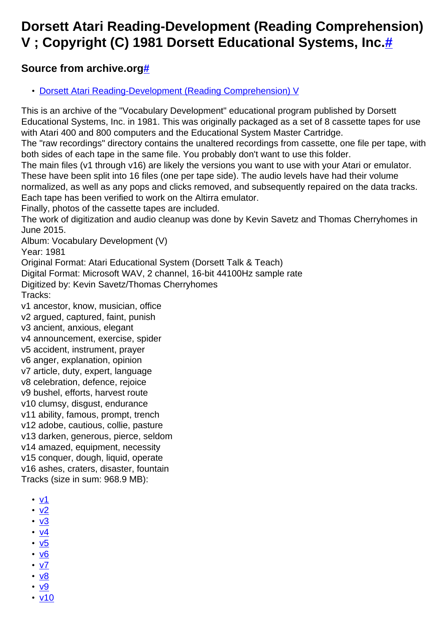## **Dorsett Atari Reading-Development (Reading Comprehension) V ; Copyright (C) 1981 Dorsett Educational Systems, Inc[.#](http://[fd00::119]:8080/wiki/#section-Reading-Development+V-DorsettAtariReadingDevelopmentReadingComprehensionVCopyrightC1981DorsettEducationalSystemsInc.)**

## **Source from archive.org[#](http://[fd00::119]:8080/wiki/#section-Reading-Development+V-SourceFromArchive.org)**

• [Dorsett Atari Reading-Development \(Reading Comprehension\) V](https://archive.org/details/DorsettAtariVocabularyDevelopmentV)

This is an archive of the "Vocabulary Development" educational program published by Dorsett Educational Systems, Inc. in 1981. This was originally packaged as a set of 8 cassette tapes for use with Atari 400 and 800 computers and the Educational System Master Cartridge.

The "raw recordings" directory contains the unaltered recordings from cassette, one file per tape, with both sides of each tape in the same file. You probably don't want to use this folder.

The main files (v1 through v16) are likely the versions you want to use with your Atari or emulator.

These have been split into 16 files (one per tape side). The audio levels have had their volume normalized, as well as any pops and clicks removed, and subsequently repaired on the data tracks.

Each tape has been verified to work on the Altirra emulator.

Finally, photos of the cassette tapes are included.

The work of digitization and audio cleanup was done by Kevin Savetz and Thomas Cherryhomes in June 2015.

Album: Vocabulary Development (V)

Year: 1981

Original Format: Atari Educational System (Dorsett Talk & Teach)

Digital Format: Microsoft WAV, 2 channel, 16-bit 44100Hz sample rate

Digitized by: Kevin Savetz/Thomas Cherryhomes Tracks:

v1 ancestor, know, musician, office v2 argued, captured, faint, punish v3 ancient, anxious, elegant v4 announcement, exercise, spider

v5 accident, instrument, prayer

v6 anger, explanation, opinion

v7 article, duty, expert, language

v8 celebration, defence, rejoice

v9 bushel, efforts, harvest route

v10 clumsy, disgust, endurance

v11 ability, famous, prompt, trench

v12 adobe, cautious, collie, pasture

v13 darken, generous, pierce, seldom

v14 amazed, equipment, necessity

v15 conquer, dough, liquid, operate

v16 ashes, craters, disaster, fountain

Tracks (size in sum: 968.9 MB):

- [v1](http://data.atariwiki.org/FLAC/Reading-Comprehension_V/v1.flac)
- $\cdot \underline{v2}$  $\cdot \underline{v2}$  $\cdot \underline{v2}$
- $\cdot \underline{v3}$  $\cdot \underline{v3}$  $\cdot \underline{v3}$
- $\cdot v4$  $\cdot v4$
- $\cdot \underline{v5}$  $\cdot \underline{v5}$  $\cdot \underline{v5}$
- $\cdot$  v<sub>6</sub>
- [v7](http://data.atariwiki.org/FLAC/Reading-Comprehension_V/v7.flac)
- [v8](http://data.atariwiki.org/FLAC/Reading-Comprehension_V/v8.flac)
- <u>[v9](http://data.atariwiki.org/FLAC/Reading-Comprehension_V/v9.flac)</u> • [v10](http://data.atariwiki.org/FLAC/Reading-Comprehension_V/v10.flac)